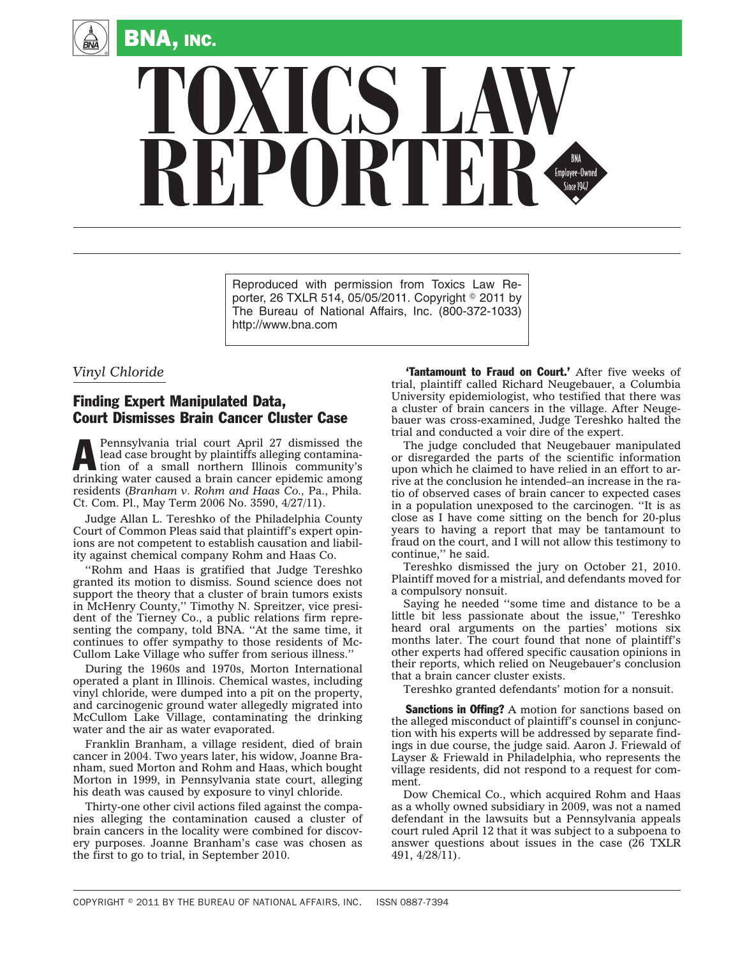

## **TOXICS LAW** REPORTER

Reproduced with permission from Toxics Law Reporter, 26 TXLR 514, 05/05/2011. Copyright © 2011 by The Bureau of National Affairs, Inc. (800-372-1033) http://www.bna.com

## *Vinyl Chloride*

## Finding Expert Manipulated Data, Court Dismisses Brain Cancer Cluster Case

Pennsylvania trial court April 27 dismissed the lead case brought by plaintiffs alleging contamination of a small northern Illinois community's lead case brought by plaintiffs alleging contaminadrinking water caused a brain cancer epidemic among residents (*Branham v. Rohm and Haas Co.,* Pa., Phila. Ct. Com. Pl., May Term 2006 No. 3590, 4/27/11).

Judge Allan L. Tereshko of the Philadelphia County Court of Common Pleas said that plaintiff's expert opinions are not competent to establish causation and liability against chemical company Rohm and Haas Co.

''Rohm and Haas is gratified that Judge Tereshko granted its motion to dismiss. Sound science does not support the theory that a cluster of brain tumors exists in McHenry County,'' Timothy N. Spreitzer, vice president of the Tierney Co., a public relations firm representing the company, told BNA. ''At the same time, it continues to offer sympathy to those residents of Mc-Cullom Lake Village who suffer from serious illness.''

During the 1960s and 1970s, Morton International operated a plant in Illinois. Chemical wastes, including vinyl chloride, were dumped into a pit on the property, and carcinogenic ground water allegedly migrated into McCullom Lake Village, contaminating the drinking water and the air as water evaporated.

Franklin Branham, a village resident, died of brain cancer in 2004. Two years later, his widow, Joanne Branham, sued Morton and Rohm and Haas, which bought Morton in 1999, in Pennsylvania state court, alleging his death was caused by exposure to vinyl chloride.

Thirty-one other civil actions filed against the companies alleging the contamination caused a cluster of brain cancers in the locality were combined for discovery purposes. Joanne Branham's case was chosen as the first to go to trial, in September 2010.

'Tantamount to Fraud on Court.' After five weeks of trial, plaintiff called Richard Neugebauer, a Columbia University epidemiologist, who testified that there was a cluster of brain cancers in the village. After Neugebauer was cross-examined, Judge Tereshko halted the trial and conducted a voir dire of the expert.

The judge concluded that Neugebauer manipulated or disregarded the parts of the scientific information upon which he claimed to have relied in an effort to arrive at the conclusion he intended–an increase in the ratio of observed cases of brain cancer to expected cases in a population unexposed to the carcinogen. ''It is as close as I have come sitting on the bench for 20-plus years to having a report that may be tantamount to fraud on the court, and I will not allow this testimony to continue,'' he said.

Tereshko dismissed the jury on October 21, 2010. Plaintiff moved for a mistrial, and defendants moved for a compulsory nonsuit.

Saying he needed ''some time and distance to be a little bit less passionate about the issue,'' Tereshko heard oral arguments on the parties' motions six months later. The court found that none of plaintiff's other experts had offered specific causation opinions in their reports, which relied on Neugebauer's conclusion that a brain cancer cluster exists.

Tereshko granted defendants' motion for a nonsuit.

**Sanctions in Offing?** A motion for sanctions based on the alleged misconduct of plaintiff's counsel in conjunction with his experts will be addressed by separate findings in due course, the judge said. Aaron J. Friewald of Layser & Friewald in Philadelphia, who represents the village residents, did not respond to a request for comment.

Dow Chemical Co., which acquired Rohm and Haas as a wholly owned subsidiary in 2009, was not a named defendant in the lawsuits but a Pennsylvania appeals court ruled April 12 that it was subject to a subpoena to answer questions about issues in the case (26 TXLR 491, 4/28/11).